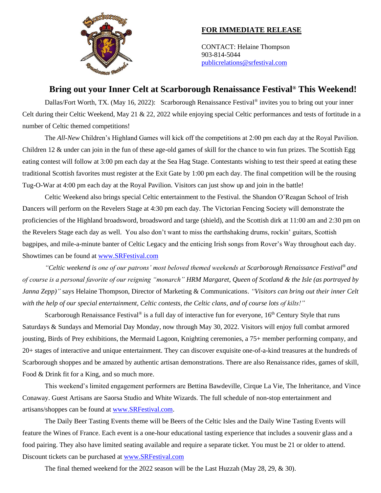

## **FOR IMMEDIATE RELEASE**

CONTACT: Helaine Thompson 903-814-5044 [publicrelations@srfestival.com](mailto:publicrelations@srfestival.com)

## **Bring out your Inner Celt at Scarborough Renaissance Festival® This Weekend!**

Dallas/Fort Worth, TX. (May 16, 2022): Scarborough Renaissance Festival® invites you to bring out your inner Celt during their Celtic Weekend, May 21 & 22, 2022 while enjoying special Celtic performances and tests of fortitude in a number of Celtic themed competitions!

The *All-New* Children's Highland Games will kick off the competitions at 2:00 pm each day at the Royal Pavilion. Children 12 & under can join in the fun of these age-old games of skill for the chance to win fun prizes. The Scottish Egg eating contest will follow at 3:00 pm each day at the Sea Hag Stage. Contestants wishing to test their speed at eating these traditional Scottish favorites must register at the Exit Gate by 1:00 pm each day. The final competition will be the rousing Tug-O-War at 4:00 pm each day at the Royal Pavilion. Visitors can just show up and join in the battle!

Celtic Weekend also brings special Celtic entertainment to the Festival. the Shandon O'Reagan School of Irish Dancers will perform on the Revelers Stage at 4:30 pm each day. The Victorian Fencing Society will demonstrate the proficiencies of the Highland broadsword, broadsword and targe (shield), and the Scottish dirk at 11:00 am and 2:30 pm on the Revelers Stage each day as well. You also don't want to miss the earthshaking drums, rockin' guitars, Scottish bagpipes, and mile-a-minute banter of Celtic Legacy and the enticing Irish songs from Rover's Way throughout each day. Showtimes can be found at [www.SRFestival.com](http://www.srfestival.com/)

*"Celtic weekend is one of our patrons' most beloved themed weekends at Scarborough Renaissance Festival® and of course is a personal favorite of our reigning "monarch" HRM Margaret, Queen of Scotland & the Isle (as portrayed by Janna Zepp)"* says Helaine Thompson, Director of Marketing & Communications. *"Visitors can bring out their inner Celt with the help of our special entertainment, Celtic contests, the Celtic clans, and of course lots of kilts!"* 

Scarborough Renaissance Festival<sup>®</sup> is a full day of interactive fun for everyone, 16<sup>th</sup> Century Style that runs Saturdays & Sundays and Memorial Day Monday, now through May 30, 2022. Visitors will enjoy full combat armored jousting, Birds of Prey exhibitions, the Mermaid Lagoon, Knighting ceremonies, a 75+ member performing company, and 20+ stages of interactive and unique entertainment. They can discover exquisite one-of-a-kind treasures at the hundreds of Scarborough shoppes and be amazed by authentic artisan demonstrations. There are also Renaissance rides, games of skill, Food & Drink fit for a King, and so much more.

This weekend's limited engagement performers are Bettina Bawdeville, Cirque La Vie, The Inheritance, and Vince Conaway. Guest Artisans are Saorsa Studio and White Wizards. The full schedule of non-stop entertainment and artisans/shoppes can be found at [www.SRFestival.com.](http://www.srfestival.com/)

The Daily Beer Tasting Events theme will be Beers of the Celtic Isles and the Daily Wine Tasting Events will feature the Wines of France. Each event is a one-hour educational tasting experience that includes a souvenir glass and a food pairing. They also have limited seating available and require a separate ticket. You must be 21 or older to attend. Discount tickets can be purchased at [www.SRFestival.com](http://www.srfestival.com/)

The final themed weekend for the 2022 season will be the Last Huzzah (May 28, 29, & 30).